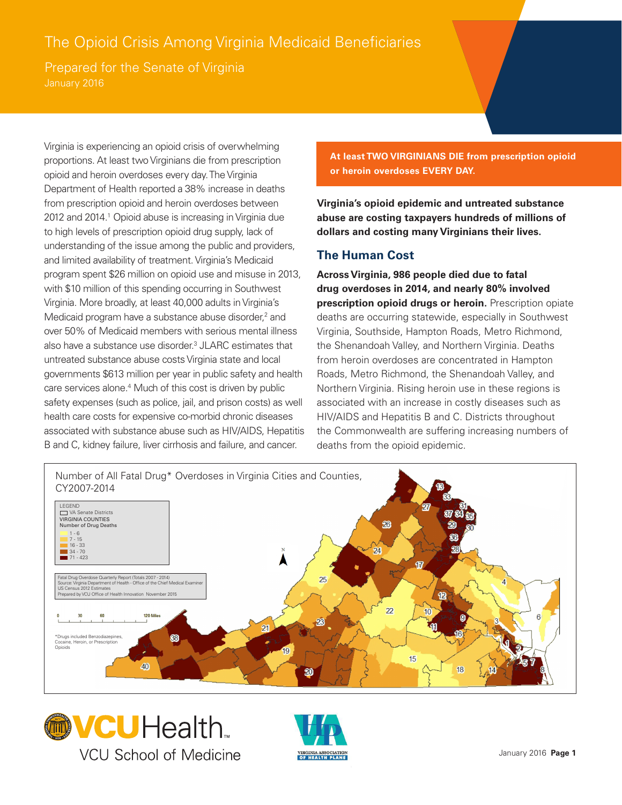## The Opioid Crisis Among Virginia Medicaid Beneficiaries

Prepared for the Senate of Virginia

Virginia is experiencing an opioid crisis of overwhelming proportions. At least two Virginians die from prescription opioid and heroin overdoses every day. The Virginia Department of Health reported a 38% increase in deaths from prescription opioid and heroin overdoses between 2012 and 2014.<sup>1</sup> Opioid abuse is increasing in Virginia due to high levels of prescription opioid drug supply, lack of understanding of the issue among the public and providers, and limited availability of treatment. Virginia's Medicaid program spent \$26 million on opioid use and misuse in 2013, with \$10 million of this spending occurring in Southwest Virginia. More broadly, at least 40,000 adults in Virginia's Medicaid program have a substance abuse disorder,<sup>2</sup> and over 50% of Medicaid members with serious mental illness also have a substance use disorder.<sup>3</sup> JLARC estimates that untreated substance abuse costs Virginia state and local governments \$613 million per year in public safety and health care services alone.<sup>4</sup> Much of this cost is driven by public safety expenses (such as police, jail, and prison costs) as well health care costs for expensive co-morbid chronic diseases associated with substance abuse such as HIV/AIDS, Hepatitis B and C, kidney failure, liver cirrhosis and failure, and cancer.

**At least TWO VIRGINIANS DIE from prescription opioid or heroin overdoses EVERY DAY.**

**Virginia's opioid epidemic and untreated substance abuse are costing taxpayers hundreds of millions of dollars and costing many Virginians their lives.**

## **The Human Cost**

**Across Virginia, 986 people died due to fatal drug overdoses in 2014, and nearly 80% involved prescription opioid drugs or heroin.** Prescription opiate deaths are occurring statewide, especially in Southwest Virginia, Southside, Hampton Roads, Metro Richmond, the Shenandoah Valley, and Northern Virginia. Deaths from heroin overdoses are concentrated in Hampton Roads, Metro Richmond, the Shenandoah Valley, and Northern Virginia. Rising heroin use in these regions is associated with an increase in costly diseases such as HIV/AIDS and Hepatitis B and C. Districts throughout the Commonwealth are suffering increasing numbers of deaths from the opioid epidemic.